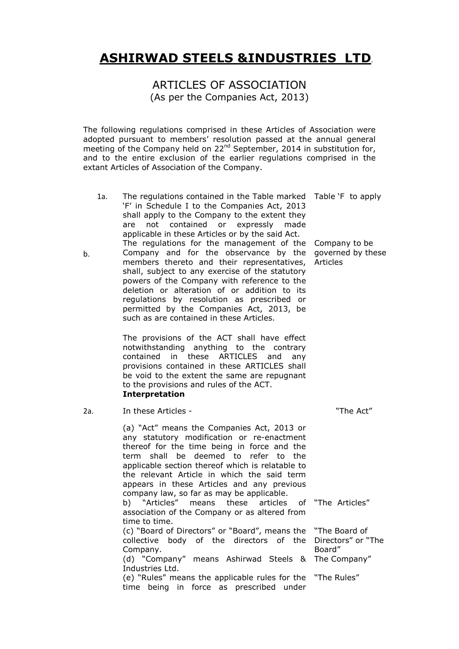# ASHIRWAD STEELS &INDUSTRIES LTD.

ARTICLES OF ASSOCIATION (As per the Companies Act, 2013)

The following regulations comprised in these Articles of Association were adopted pursuant to members' resolution passed at the annual general meeting of the Company held on  $22^{nd}$  September, 2014 in substitution for, and to the entire exclusion of the earlier regulations comprised in the extant Articles of Association of the Company.

| 1a.<br>b. | The regulations contained in the Table marked Table `F to apply<br>'F' in Schedule I to the Companies Act, 2013<br>shall apply to the Company to the extent they<br>not contained or expressly made<br>are<br>applicable in these Articles or by the said Act.<br>The regulations for the management of the<br>Company and for the observance by the<br>members thereto and their representatives,<br>shall, subject to any exercise of the statutory<br>powers of the Company with reference to the<br>deletion or alteration of or addition to its<br>regulations by resolution as prescribed<br>- or<br>permitted by the Companies Act, 2013, be<br>such as are contained in these Articles.<br>The provisions of the ACT shall have effect<br>notwithstanding anything to the contrary | Company to be<br>governed by these<br>Articles |
|-----------|--------------------------------------------------------------------------------------------------------------------------------------------------------------------------------------------------------------------------------------------------------------------------------------------------------------------------------------------------------------------------------------------------------------------------------------------------------------------------------------------------------------------------------------------------------------------------------------------------------------------------------------------------------------------------------------------------------------------------------------------------------------------------------------------|------------------------------------------------|
|           | in these<br><b>ARTICLES</b><br>contained<br>and<br>any<br>provisions contained in these ARTICLES shall<br>be void to the extent the same are repugnant<br>to the provisions and rules of the ACT.<br><b>Interpretation</b>                                                                                                                                                                                                                                                                                                                                                                                                                                                                                                                                                                 |                                                |
| 2a.       | In these Articles -                                                                                                                                                                                                                                                                                                                                                                                                                                                                                                                                                                                                                                                                                                                                                                        | "The Act"                                      |
|           | (a) "Act" means the Companies Act, 2013 or<br>any statutory modification or re-enactment<br>thereof for the time being in force and the<br>shall be deemed to refer to the<br>term<br>applicable section thereof which is relatable to<br>the relevant Article in which the said term<br>appears in these Articles and any previous<br>company law, so far as may be applicable.                                                                                                                                                                                                                                                                                                                                                                                                           |                                                |
|           | b) "Articles"<br>means<br>these<br>articles<br>association of the Company or as altered from<br>time to time.                                                                                                                                                                                                                                                                                                                                                                                                                                                                                                                                                                                                                                                                              | of "The Articles"                              |
|           | (c) "Board of Directors" or "Board", means the "The Board of<br>collective body of the directors of the Directors" or "The<br>Company.<br>(d) "Company" means Ashirwad Steels &<br>Industries Ltd.                                                                                                                                                                                                                                                                                                                                                                                                                                                                                                                                                                                         | Board"<br>The Company"                         |
|           | (e) "Rules" means the applicable rules for the "The Rules"<br>time being in force as prescribed under                                                                                                                                                                                                                                                                                                                                                                                                                                                                                                                                                                                                                                                                                      |                                                |

b.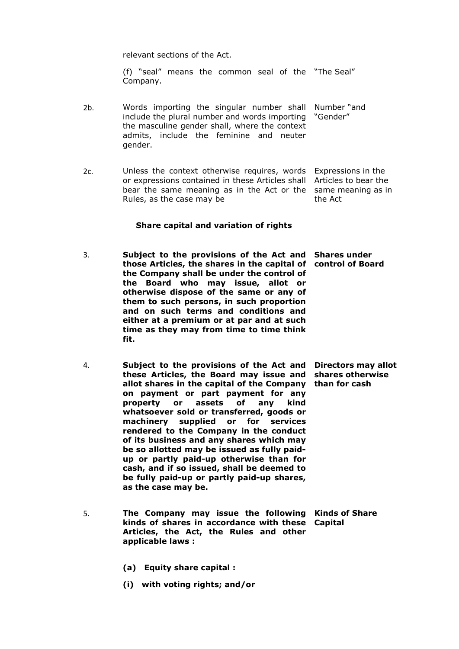relevant sections of the Act.

(f) "seal" means the common seal of the "The Seal" Company.

- 2b. Words importing the singular number shall Number "and include the plural number and words importing "Gender" the masculine gender shall, where the context admits, include the feminine and neuter gender.
- 2c. Unless the context otherwise requires, words Expressions in the or expressions contained in these Articles shall Articles to bear the bear the same meaning as in the Act or the same meaning as in Rules, as the case may be the Act

## Share capital and variation of rights

- 3. Subject to the provisions of the Act and Shares under those Articles, the shares in the capital of control of Board the Company shall be under the control of the Board who may issue, allot or otherwise dispose of the same or any of them to such persons, in such proportion and on such terms and conditions and either at a premium or at par and at such time as they may from time to time think fit.
- 4. Subject to the provisions of the Act and Directors may allot these Articles, the Board may issue and shares otherwise allot shares in the capital of the Company than for cash on payment or part payment for any property or assets of any kind whatsoever sold or transferred, goods or machinery supplied or for services rendered to the Company in the conduct of its business and any shares which may be so allotted may be issued as fully paidup or partly paid-up otherwise than for cash, and if so issued, shall be deemed to be fully paid-up or partly paid-up shares, as the case may be.
- 5. The Company may issue the following Kinds of Share kinds of shares in accordance with these Capital Articles, the Act, the Rules and other applicable laws :
	- (a) Equity share capital :
	- (i) with voting rights; and/or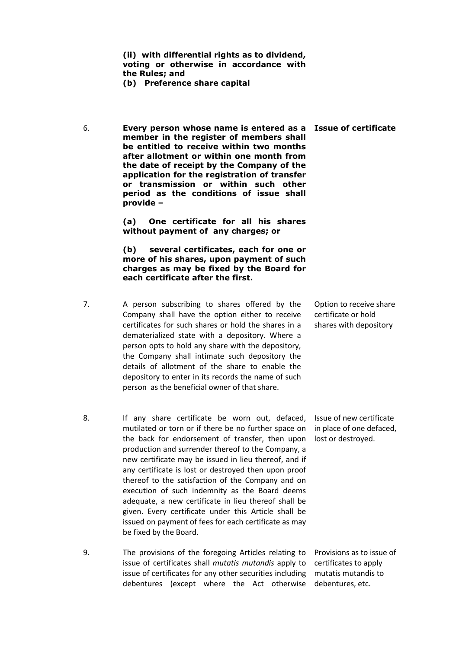(ii) with differential rights as to dividend, voting or otherwise in accordance with the Rules; and

(b) Preference share capital

6. Every person whose name is entered as a Issue of certificate member in the register of members shall be entitled to receive within two months after allotment or within one month from the date of receipt by the Company of the application for the registration of transfer or transmission or within such other period as the conditions of issue shall provide –

> (a) One certificate for all his shares without payment of any charges; or

> (b) several certificates, each for one or more of his shares, upon payment of such charges as may be fixed by the Board for each certificate after the first.

- 7. A person subscribing to shares offered by the Company shall have the option either to receive certificates for such shares or hold the shares in a dematerialized state with a depository. Where a person opts to hold any share with the depository, the Company shall intimate such depository the details of allotment of the share to enable the depository to enter in its records the name of such person as the beneficial owner of that share.
- Option to receive share certificate or hold shares with depository

in place of one defaced,

- 8. If any share certificate be worn out, defaced, Issue of new certificate mutilated or torn or if there be no further space on the back for endorsement of transfer, then upon lost or destroyed. production and surrender thereof to the Company, a new certificate may be issued in lieu thereof, and if any certificate is lost or destroyed then upon proof thereof to the satisfaction of the Company and on execution of such indemnity as the Board deems adequate, a new certificate in lieu thereof shall be given. Every certificate under this Article shall be issued on payment of fees for each certificate as may be fixed by the Board.
- 9. The provisions of the foregoing Articles relating to Provisions as to issue of issue of certificates shall *mutatis mutandis* apply to certificates to apply issue of certificates for any other securities including mutatis mutandis to debentures (except where the Act otherwise debentures, etc.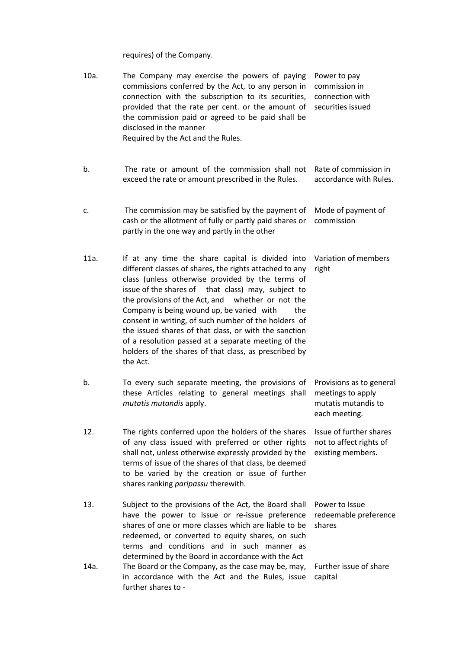requires) of the Company.

| 10a. | The Company may exercise the powers of paying<br>commissions conferred by the Act, to any person in<br>connection with the subscription to its securities,<br>provided that the rate per cent. or the amount of<br>the commission paid or agreed to be paid shall be<br>disclosed in the manner<br>Required by the Act and the Rules.                                                                                                                                                                                                                                          | Power to pay<br>commission in<br>connection with<br>securities issued                 |
|------|--------------------------------------------------------------------------------------------------------------------------------------------------------------------------------------------------------------------------------------------------------------------------------------------------------------------------------------------------------------------------------------------------------------------------------------------------------------------------------------------------------------------------------------------------------------------------------|---------------------------------------------------------------------------------------|
| b.   | The rate or amount of the commission shall not<br>exceed the rate or amount prescribed in the Rules.                                                                                                                                                                                                                                                                                                                                                                                                                                                                           | Rate of commission in<br>accordance with Rules.                                       |
| c.   | The commission may be satisfied by the payment of<br>cash or the allotment of fully or partly paid shares or<br>partly in the one way and partly in the other                                                                                                                                                                                                                                                                                                                                                                                                                  | Mode of payment of<br>commission                                                      |
| 11a. | If at any time the share capital is divided into<br>different classes of shares, the rights attached to any<br>class (unless otherwise provided by the terms of<br>issue of the shares of that class) may, subject to<br>the provisions of the Act, and<br>whether or not the<br>Company is being wound up, be varied with<br>the<br>consent in writing, of such number of the holders of<br>the issued shares of that class, or with the sanction<br>of a resolution passed at a separate meeting of the<br>holders of the shares of that class, as prescribed by<br>the Act. | Variation of members<br>right                                                         |
| b.   | To every such separate meeting, the provisions of<br>these Articles relating to general meetings shall<br>mutatis mutandis apply.                                                                                                                                                                                                                                                                                                                                                                                                                                              | Provisions as to general<br>meetings to apply<br>mutatis mutandis to<br>each meeting. |
| 12.  | The rights conferred upon the holders of the shares<br>of any class issued with preferred or other rights<br>shall not, unless otherwise expressly provided by the<br>terms of issue of the shares of that class, be deemed<br>to be varied by the creation or issue of further<br>shares ranking paripassu therewith.                                                                                                                                                                                                                                                         | Issue of further shares<br>not to affect rights of<br>existing members.               |
| 13.  | Subject to the provisions of the Act, the Board shall<br>have the power to issue or re-issue preference<br>shares of one or more classes which are liable to be<br>redeemed, or converted to equity shares, on such<br>terms and conditions and in such manner as<br>determined by the Board in accordance with the Act                                                                                                                                                                                                                                                        | Power to Issue<br>redeemable preference<br>shares                                     |
| 14a. | The Board or the Company, as the case may be, may,<br>in accordance with the Act and the Rules, issue<br>further shares to -                                                                                                                                                                                                                                                                                                                                                                                                                                                   | Further issue of share<br>capital                                                     |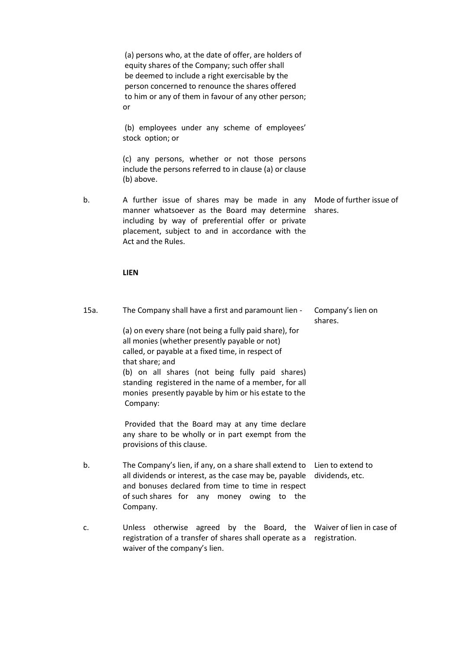|      | (a) persons who, at the date of offer, are holders of<br>equity shares of the Company; such offer shall<br>be deemed to include a right exercisable by the<br>person concerned to renounce the shares offered<br>to him or any of them in favour of any other person;<br>or                                                                                                                                                                                                                                                   |                                      |
|------|-------------------------------------------------------------------------------------------------------------------------------------------------------------------------------------------------------------------------------------------------------------------------------------------------------------------------------------------------------------------------------------------------------------------------------------------------------------------------------------------------------------------------------|--------------------------------------|
|      | (b) employees under any scheme of employees'<br>stock option; or                                                                                                                                                                                                                                                                                                                                                                                                                                                              |                                      |
|      | (c) any persons, whether or not those persons<br>include the persons referred to in clause (a) or clause<br>(b) above.                                                                                                                                                                                                                                                                                                                                                                                                        |                                      |
| b.   | A further issue of shares may be made in any<br>manner whatsoever as the Board may determine<br>including by way of preferential offer or private<br>placement, subject to and in accordance with the<br>Act and the Rules.                                                                                                                                                                                                                                                                                                   | Mode of further issue of<br>shares.  |
|      | <b>LIEN</b>                                                                                                                                                                                                                                                                                                                                                                                                                                                                                                                   |                                      |
| 15a. | The Company shall have a first and paramount lien -<br>(a) on every share (not being a fully paid share), for<br>all monies (whether presently payable or not)<br>called, or payable at a fixed time, in respect of<br>that share; and<br>(b) on all shares (not being fully paid shares)<br>standing registered in the name of a member, for all<br>monies presently payable by him or his estate to the<br>Company:<br>Provided that the Board may at any time declare<br>any share to be wholly or in part exempt from the | Company's lien on<br>shares.         |
|      | provisions of this clause.                                                                                                                                                                                                                                                                                                                                                                                                                                                                                                    |                                      |
| b.   | The Company's lien, if any, on a share shall extend to<br>all dividends or interest, as the case may be, payable<br>and bonuses declared from time to time in respect<br>of such shares for any money owing to the<br>Company.                                                                                                                                                                                                                                                                                                | Lien to extend to<br>dividends, etc. |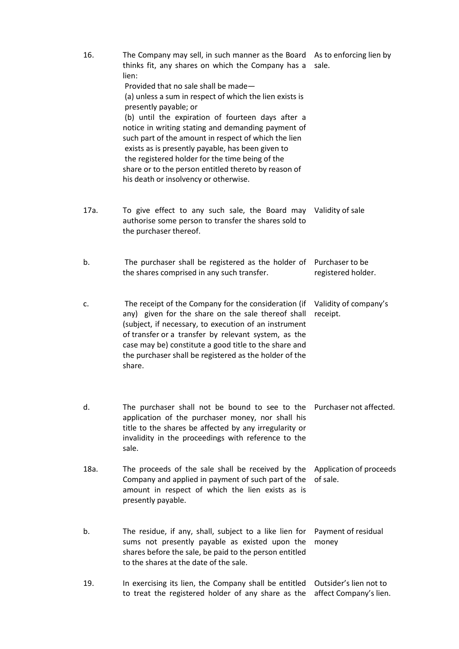| 16.  | The Company may sell, in such manner as the Board As to enforcing lien by<br>thinks fit, any shares on which the Company has a<br>lien:<br>Provided that no sale shall be made-<br>(a) unless a sum in respect of which the lien exists is<br>presently payable; or<br>(b) until the expiration of fourteen days after a<br>notice in writing stating and demanding payment of<br>such part of the amount in respect of which the lien<br>exists as is presently payable, has been given to<br>the registered holder for the time being of the<br>share or to the person entitled thereto by reason of<br>his death or insolvency or otherwise. | sale.                                            |
|------|-------------------------------------------------------------------------------------------------------------------------------------------------------------------------------------------------------------------------------------------------------------------------------------------------------------------------------------------------------------------------------------------------------------------------------------------------------------------------------------------------------------------------------------------------------------------------------------------------------------------------------------------------|--------------------------------------------------|
| 17a. | To give effect to any such sale, the Board may<br>authorise some person to transfer the shares sold to<br>the purchaser thereof.                                                                                                                                                                                                                                                                                                                                                                                                                                                                                                                | Validity of sale                                 |
| b.   | The purchaser shall be registered as the holder of<br>the shares comprised in any such transfer.                                                                                                                                                                                                                                                                                                                                                                                                                                                                                                                                                | Purchaser to be<br>registered holder.            |
| c.   | The receipt of the Company for the consideration (if<br>any) given for the share on the sale thereof shall<br>(subject, if necessary, to execution of an instrument<br>of transfer or a transfer by relevant system, as the<br>case may be) constitute a good title to the share and<br>the purchaser shall be registered as the holder of the<br>share.                                                                                                                                                                                                                                                                                        | Validity of company's<br>receipt.                |
| d.   | The purchaser shall not be bound to see to the<br>application of the purchaser money, nor shall his<br>title to the shares be affected by any irregularity or<br>invalidity in the proceedings with reference to the<br>sale.                                                                                                                                                                                                                                                                                                                                                                                                                   | Purchaser not affected.                          |
| 18a. | The proceeds of the sale shall be received by the<br>Company and applied in payment of such part of the<br>amount in respect of which the lien exists as is<br>presently payable.                                                                                                                                                                                                                                                                                                                                                                                                                                                               | Application of proceeds<br>of sale.              |
| b.   | The residue, if any, shall, subject to a like lien for<br>sums not presently payable as existed upon the<br>shares before the sale, be paid to the person entitled<br>to the shares at the date of the sale.                                                                                                                                                                                                                                                                                                                                                                                                                                    | Payment of residual<br>money                     |
| 19.  | In exercising its lien, the Company shall be entitled<br>to treat the registered holder of any share as the                                                                                                                                                                                                                                                                                                                                                                                                                                                                                                                                     | Outsider's lien not to<br>affect Company's lien. |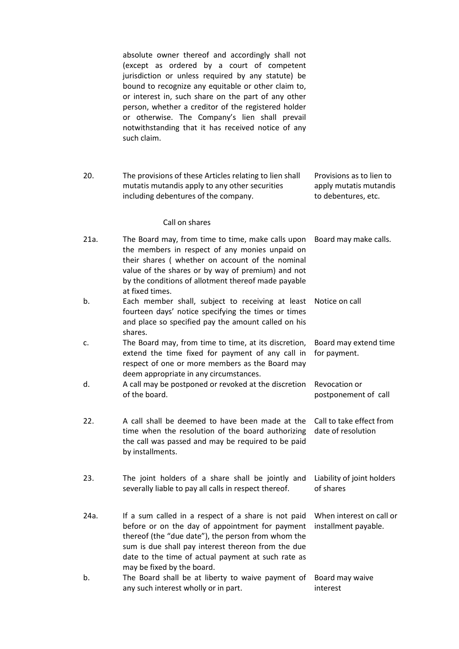absolute owner thereof and accordingly shall not (except as ordered by a court of competent jurisdiction or unless required by any statute) be bound to recognize any equitable or other claim to, or interest in, such share on the part of any other person, whether a creditor of the registered holder or otherwise. The Company's lien shall prevail notwithstanding that it has received notice of any such claim.

20. The provisions of these Articles relating to lien shall mutatis mutandis apply to any other securities including debentures of the company. Provisions as to lien to apply mutatis mutandis to debentures, etc.

#### Call on shares

| 21a. | The Board may, from time to time, make calls upon<br>the members in respect of any monies unpaid on<br>their shares (whether on account of the nominal<br>value of the shares or by way of premium) and not<br>by the conditions of allotment thereof made payable<br>at fixed times.                  | Board may make calls.                            |
|------|--------------------------------------------------------------------------------------------------------------------------------------------------------------------------------------------------------------------------------------------------------------------------------------------------------|--------------------------------------------------|
| b.   | Each member shall, subject to receiving at least<br>fourteen days' notice specifying the times or times<br>and place so specified pay the amount called on his<br>shares.                                                                                                                              | Notice on call                                   |
| c.   | The Board may, from time to time, at its discretion,<br>extend the time fixed for payment of any call in<br>respect of one or more members as the Board may<br>deem appropriate in any circumstances.                                                                                                  | Board may extend time<br>for payment.            |
| d.   | A call may be postponed or revoked at the discretion<br>of the board.                                                                                                                                                                                                                                  | Revocation or<br>postponement of call            |
| 22.  | A call shall be deemed to have been made at the<br>time when the resolution of the board authorizing<br>the call was passed and may be required to be paid<br>by installments.                                                                                                                         | Call to take effect from<br>date of resolution   |
| 23.  | The joint holders of a share shall be jointly and<br>severally liable to pay all calls in respect thereof.                                                                                                                                                                                             | Liability of joint holders<br>of shares          |
| 24a. | If a sum called in a respect of a share is not paid<br>before or on the day of appointment for payment<br>thereof (the "due date"), the person from whom the<br>sum is due shall pay interest thereon from the due<br>date to the time of actual payment at such rate as<br>may be fixed by the board. | When interest on call or<br>installment payable. |
| b.   | The Board shall be at liberty to waive payment of<br>any such interest wholly or in part.                                                                                                                                                                                                              | Board may waive<br>interest                      |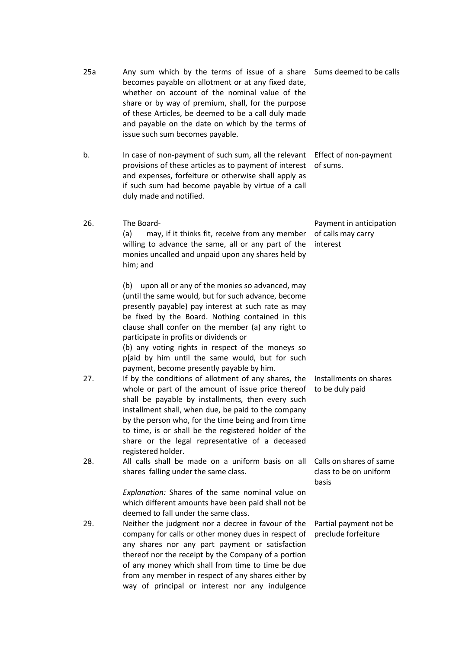|     | becomes payable on allotment or at any fixed date,<br>whether on account of the nominal value of the<br>share or by way of premium, shall, for the purpose<br>of these Articles, be deemed to be a call duly made<br>and payable on the date on which by the terms of<br>issue such sum becomes payable.                                                                                                                                                                     |                                                            |
|-----|------------------------------------------------------------------------------------------------------------------------------------------------------------------------------------------------------------------------------------------------------------------------------------------------------------------------------------------------------------------------------------------------------------------------------------------------------------------------------|------------------------------------------------------------|
| b.  | In case of non-payment of such sum, all the relevant<br>provisions of these articles as to payment of interest<br>and expenses, forfeiture or otherwise shall apply as<br>if such sum had become payable by virtue of a call<br>duly made and notified.                                                                                                                                                                                                                      | Effect of non-payment<br>of sums.                          |
| 26. | The Board-<br>may, if it thinks fit, receive from any member<br>(a)<br>willing to advance the same, all or any part of the<br>monies uncalled and unpaid upon any shares held by<br>him; and                                                                                                                                                                                                                                                                                 | Payment in anticipation<br>of calls may carry<br>interest  |
|     | upon all or any of the monies so advanced, may<br>(b)<br>(until the same would, but for such advance, become<br>presently payable) pay interest at such rate as may<br>be fixed by the Board. Nothing contained in this<br>clause shall confer on the member (a) any right to<br>participate in profits or dividends or<br>(b) any voting rights in respect of the moneys so<br>p[aid by him until the same would, but for such<br>payment, become presently payable by him. |                                                            |
| 27. | If by the conditions of allotment of any shares, the<br>whole or part of the amount of issue price thereof<br>shall be payable by installments, then every such<br>installment shall, when due, be paid to the company<br>by the person who, for the time being and from time<br>to time, is or shall be the registered holder of the<br>share or the legal representative of a deceased<br>registered holder.                                                               | Installments on shares<br>to be duly paid                  |
| 28. | All calls shall be made on a uniform basis on all<br>shares falling under the same class.                                                                                                                                                                                                                                                                                                                                                                                    | Calls on shares of same<br>class to be on uniform<br>basis |
|     | Explanation: Shares of the same nominal value on<br>which different amounts have been paid shall not be<br>deemed to fall under the same class.                                                                                                                                                                                                                                                                                                                              |                                                            |
| 29. | Neither the judgment nor a decree in favour of the<br>company for calls or other money dues in respect of<br>any shares nor any part payment or satisfaction<br>thereof nor the receipt by the Company of a portion<br>of any money which shall from time to time be due<br>from any member in respect of any shares either by<br>way of principal or interest nor any indulgence                                                                                            | Partial payment not be<br>preclude forfeiture              |

25a Any sum which by the terms of issue of a share Sums deemed to be calls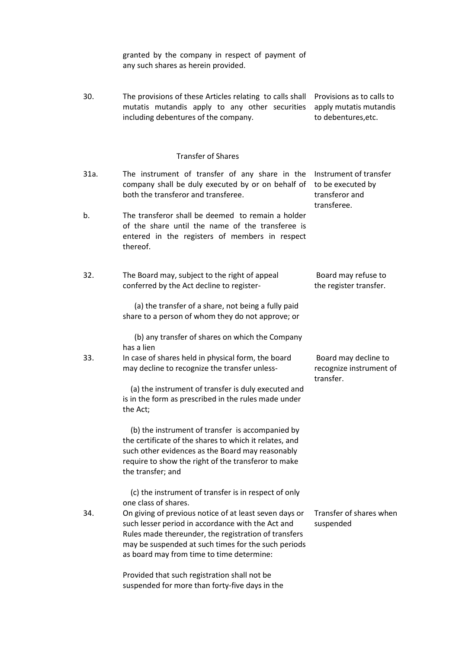granted by the company in respect of payment of any such shares as herein provided.

30. The provisions of these Articles relating to calls shall Provisions as to calls to mutatis mutandis apply to any other securities apply mutatis mutandis including debentures of the company. to debentures,etc.

#### Transfer of Shares

- 31a. The instrument of transfer of any share in the Instrument of transfer company shall be duly executed by or on behalf of to be executed by both the transferor and transferee. transferor and transferee. b. The transferor shall be deemed to remain a holder of the share until the name of the transferee is entered in the registers of members in respect thereof.
- 32. The Board may, subject to the right of appeal conferred by the Act decline to register- Board may refuse to the register transfer.

 (a) the transfer of a share, not being a fully paid share to a person of whom they do not approve; or

 (b) any transfer of shares on which the Company has a lien

33. In case of shares held in physical form, the board may decline to recognize the transfer unless-

> (a) the instrument of transfer is duly executed and is in the form as prescribed in the rules made under the Act;

 (b) the instrument of transfer is accompanied by the certificate of the shares to which it relates, and such other evidences as the Board may reasonably require to show the right of the transferor to make the transfer; and

 (c) the instrument of transfer is in respect of only one class of shares.

34. On giving of previous notice of at least seven days or such lesser period in accordance with the Act and Rules made thereunder, the registration of transfers may be suspended at such times for the such periods as board may from time to time determine:

> Provided that such registration shall not be suspended for more than forty-five days in the

Board may decline to recognize instrument of transfer.

Transfer of shares when suspended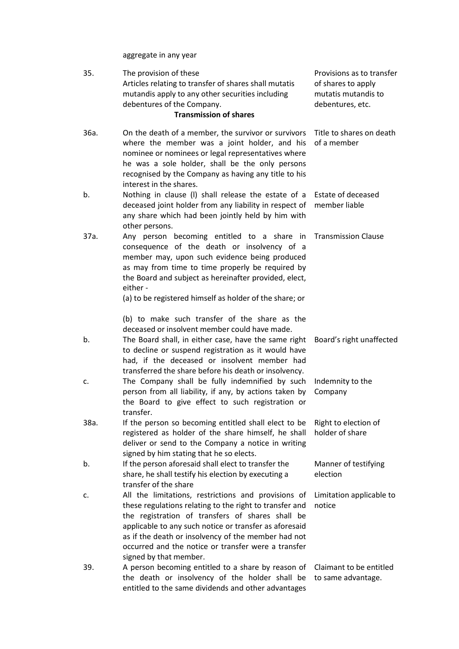aggregate in any year

| 35.  | The provision of these<br>Articles relating to transfer of shares shall mutatis<br>mutandis apply to any other securities including<br>debentures of the Company.<br><b>Transmission of shares</b>                                                                                                                                                                   | Provisions as to transfer<br>of shares to apply<br>mutatis mutandis to<br>debentures, etc. |
|------|----------------------------------------------------------------------------------------------------------------------------------------------------------------------------------------------------------------------------------------------------------------------------------------------------------------------------------------------------------------------|--------------------------------------------------------------------------------------------|
| 36a. | On the death of a member, the survivor or survivors<br>where the member was a joint holder, and his<br>nominee or nominees or legal representatives where<br>he was a sole holder, shall be the only persons<br>recognised by the Company as having any title to his<br>interest in the shares.                                                                      | Title to shares on death<br>of a member                                                    |
| b.   | Nothing in clause (I) shall release the estate of a<br>deceased joint holder from any liability in respect of<br>any share which had been jointly held by him with<br>other persons.                                                                                                                                                                                 | Estate of deceased<br>member liable                                                        |
| 37a. | Any person becoming entitled to a share in<br>consequence of the death or insolvency of a<br>member may, upon such evidence being produced<br>as may from time to time properly be required by<br>the Board and subject as hereinafter provided, elect,<br>either -<br>(a) to be registered himself as holder of the share; or                                       | <b>Transmission Clause</b>                                                                 |
|      | (b) to make such transfer of the share as the                                                                                                                                                                                                                                                                                                                        |                                                                                            |
| b.   | deceased or insolvent member could have made.<br>The Board shall, in either case, have the same right<br>to decline or suspend registration as it would have<br>had, if the deceased or insolvent member had<br>transferred the share before his death or insolvency.                                                                                                | Board's right unaffected                                                                   |
| c.   | The Company shall be fully indemnified by such<br>person from all liability, if any, by actions taken by<br>the Board to give effect to such registration or<br>transfer.                                                                                                                                                                                            | Indemnity to the<br>Company                                                                |
| 38a. | If the person so becoming entitled shall elect to be<br>registered as holder of the share himself, he shall<br>deliver or send to the Company a notice in writing<br>signed by him stating that he so elects.                                                                                                                                                        | Right to election of<br>holder of share                                                    |
| b.   | If the person aforesaid shall elect to transfer the<br>share, he shall testify his election by executing a<br>transfer of the share                                                                                                                                                                                                                                  | Manner of testifying<br>election                                                           |
| c.   | All the limitations, restrictions and provisions of<br>these regulations relating to the right to transfer and<br>the registration of transfers of shares shall be<br>applicable to any such notice or transfer as aforesaid<br>as if the death or insolvency of the member had not<br>occurred and the notice or transfer were a transfer<br>signed by that member. | Limitation applicable to<br>notice                                                         |
| 39.  | A person becoming entitled to a share by reason of<br>the death or insolvency of the holder shall be<br>entitled to the same dividends and other advantages                                                                                                                                                                                                          | Claimant to be entitled<br>to same advantage.                                              |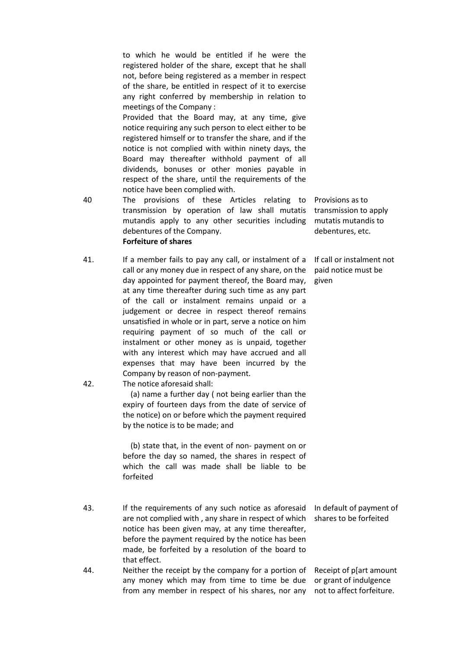to which he would be entitled if he were the registered holder of the share, except that he shall not, before being registered as a member in respect of the share, be entitled in respect of it to exercise any right conferred by membership in relation to meetings of the Company :

Provided that the Board may, at any time, give notice requiring any such person to elect either to be registered himself or to transfer the share, and if the notice is not complied with within ninety days, the Board may thereafter withhold payment of all dividends, bonuses or other monies payable in respect of the share, until the requirements of the notice have been complied with.

- 40 The provisions of these Articles relating to transmission by operation of law shall mutatis mutandis apply to any other securities including debentures of the Company. Forfeiture of shares
- 41. If a member fails to pay any call, or instalment of a call or any money due in respect of any share, on the day appointed for payment thereof, the Board may, at any time thereafter during such time as any part of the call or instalment remains unpaid or a judgement or decree in respect thereof remains unsatisfied in whole or in part, serve a notice on him requiring payment of so much of the call or instalment or other money as is unpaid, together with any interest which may have accrued and all expenses that may have been incurred by the Company by reason of non-payment.

mutatis mutandis to debentures, etc. If call or instalment not

paid notice must be

given

Provisions as to transmission to apply

42. The notice aforesaid shall:

 (a) name a further day ( not being earlier than the expiry of fourteen days from the date of service of the notice) on or before which the payment required by the notice is to be made; and

 (b) state that, in the event of non- payment on or before the day so named, the shares in respect of which the call was made shall be liable to be forfeited

- 43. If the requirements of any such notice as aforesaid In default of payment of are not complied with , any share in respect of which shares to be forfeited notice has been given may, at any time thereafter, before the payment required by the notice has been made, be forfeited by a resolution of the board to that effect.
- 44. Neither the receipt by the company for a portion of any money which may from time to time be due from any member in respect of his shares, nor any

Receipt of p[art amount or grant of indulgence not to affect forfeiture.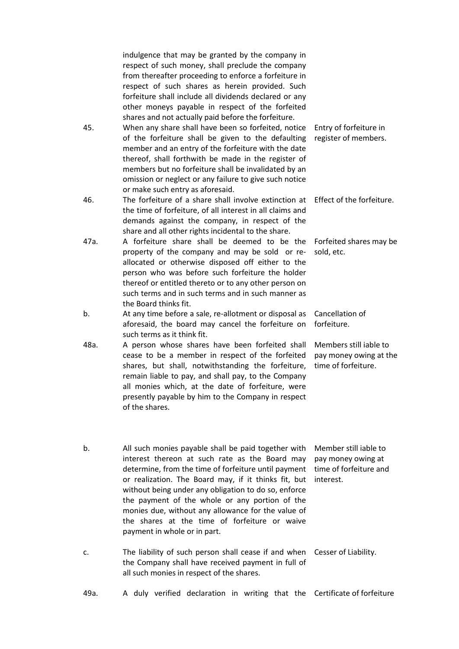indulgence that may be granted by the company in respect of such money, shall preclude the company from thereafter proceeding to enforce a forfeiture in respect of such shares as herein provided. Such forfeiture shall include all dividends declared or any other moneys payable in respect of the forfeited shares and not actually paid before the forfeiture.

- 45. When any share shall have been so forfeited, notice of the forfeiture shall be given to the defaulting member and an entry of the forfeiture with the date thereof, shall forthwith be made in the register of members but no forfeiture shall be invalidated by an omission or neglect or any failure to give such notice or make such entry as aforesaid. Entry of forfeiture in register of members.
- 46. The forfeiture of a share shall involve extinction at Effect of the forfeiture. the time of forfeiture, of all interest in all claims and demands against the company, in respect of the share and all other rights incidental to the share.
- 47a. A forfeiture share shall be deemed to be the property of the company and may be sold or reallocated or otherwise disposed off either to the person who was before such forfeiture the holder thereof or entitled thereto or to any other person on such terms and in such terms and in such manner as the Board thinks fit. Forfeited shares may be sold, etc.
- b. At any time before a sale, re-allotment or disposal as Cancellation of aforesaid, the board may cancel the forfeiture on such terms as it think fit. forfeiture.
- 48a. A person whose shares have been forfeited shall cease to be a member in respect of the forfeited shares, but shall, notwithstanding the forfeiture, remain liable to pay, and shall pay, to the Company all monies which, at the date of forfeiture, were presently payable by him to the Company in respect of the shares. Members still iable to pay money owing at the time of forfeiture.
- b. All such monies payable shall be paid together with Member still iable to interest thereon at such rate as the Board may determine, from the time of forfeiture until payment time of forfeiture and or realization. The Board may, if it thinks fit, but interest. without being under any obligation to do so, enforce the payment of the whole or any portion of the monies due, without any allowance for the value of the shares at the time of forfeiture or waive payment in whole or in part. pay money owing at
- c. The liability of such person shall cease if and when Cesser of Liability. the Company shall have received payment in full of all such monies in respect of the shares.
- 49a. A duly verified declaration in writing that the Certificate of forfeiture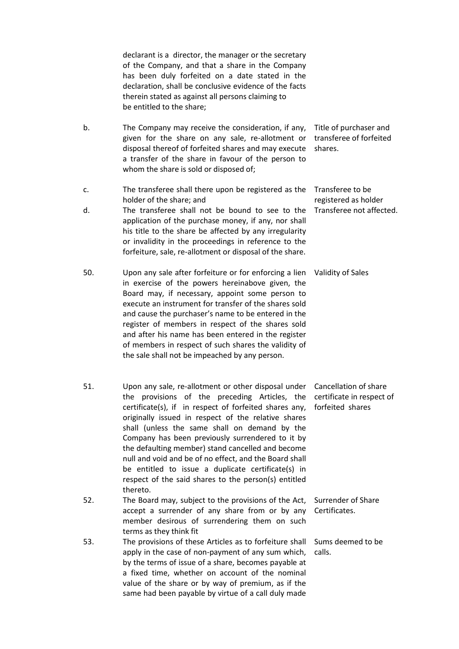declarant is a director, the manager or the secretary of the Company, and that a share in the Company has been duly forfeited on a date stated in the declaration, shall be conclusive evidence of the facts therein stated as against all persons claiming to be entitled to the share;

- b. The Company may receive the consideration, if any, Title of purchaser and given for the share on any sale, re-allotment or transferee of forfeited disposal thereof of forfeited shares and may execute shares. a transfer of the share in favour of the person to whom the share is sold or disposed of;
- c. The transferee shall there upon be registered as the Transferee to be holder of the share; and registered as holder Transferee not affected.
- d. The transferee shall not be bound to see to the application of the purchase money, if any, nor shall his title to the share be affected by any irregularity or invalidity in the proceedings in reference to the forfeiture, sale, re-allotment or disposal of the share.
- 50. Upon any sale after forfeiture or for enforcing a lien Validity of Sales in exercise of the powers hereinabove given, the Board may, if necessary, appoint some person to execute an instrument for transfer of the shares sold and cause the purchaser's name to be entered in the register of members in respect of the shares sold and after his name has been entered in the register of members in respect of such shares the validity of the sale shall not be impeached by any person.
- 51. Upon any sale, re-allotment or other disposal under Cancellation of share the provisions of the preceding Articles, the certificate in respect of certificate(s), if in respect of forfeited shares any, forfeited shares originally issued in respect of the relative shares shall (unless the same shall on demand by the Company has been previously surrendered to it by the defaulting member) stand cancelled and become null and void and be of no effect, and the Board shall be entitled to issue a duplicate certificate(s) in respect of the said shares to the person(s) entitled thereto. 52. The Board may, subject to the provisions of the Act, Surrender of Share accept a surrender of any share from or by any Certificates.
- member desirous of surrendering them on such terms as they think fit 53. The provisions of these Articles as to forfeiture shall Sums deemed to be apply in the case of non-payment of any sum which, calls.by the terms of issue of a share, becomes payable at a fixed time, whether on account of the nominal value of the share or by way of premium, as if the same had been payable by virtue of a call duly made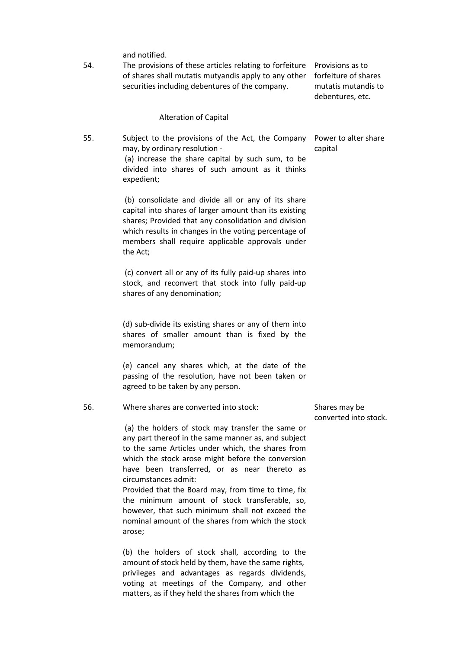and notified.

54. The provisions of these articles relating to forfeiture Provisions as to of shares shall mutatis mutyandis apply to any other forfeiture of shares securities including debentures of the company.

mutatis mutandis to debentures, etc.

#### Alteration of Capital

55. Subject to the provisions of the Act, the Company may, by ordinary resolution - (a) increase the share capital by such sum, to be divided into shares of such amount as it thinks expedient;

> (b) consolidate and divide all or any of its share capital into shares of larger amount than its existing shares; Provided that any consolidation and division which results in changes in the voting percentage of members shall require applicable approvals under the Act;

(c) convert all or any of its fully paid-up shares into stock, and reconvert that stock into fully paid-up shares of any denomination;

(d) sub-divide its existing shares or any of them into shares of smaller amount than is fixed by the memorandum;

(e) cancel any shares which, at the date of the passing of the resolution, have not been taken or agreed to be taken by any person.

56. Where shares are converted into stock:

(a) the holders of stock may transfer the same or any part thereof in the same manner as, and subject to the same Articles under which, the shares from which the stock arose might before the conversion have been transferred, or as near thereto as circumstances admit:

Provided that the Board may, from time to time, fix the minimum amount of stock transferable, so, however, that such minimum shall not exceed the nominal amount of the shares from which the stock arose;

(b) the holders of stock shall, according to the amount of stock held by them, have the same rights, privileges and advantages as regards dividends, voting at meetings of the Company, and other matters, as if they held the shares from which the

Power to alter share capital

Shares may be converted into stock.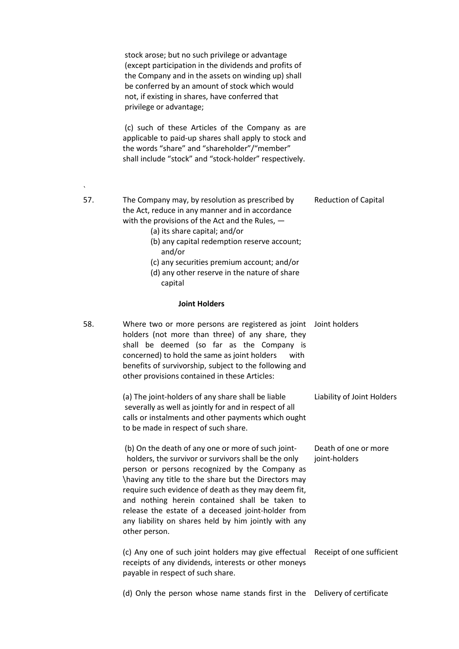stock arose; but no such privilege or advantage (except participation in the dividends and profits of the Company and in the assets on winding up) shall be conferred by an amount of stock which would not, if existing in shares, have conferred that privilege or advantage; (c) such of these Articles of the Company as are applicable to paid-up shares shall apply to stock and the words "share" and "shareholder"/"member" shall include "stock" and "stock-holder" respectively. 57. The Company may, by resolution as prescribed by the Act, reduce in any manner and in accordance with the provisions of the Act and the Rules,  $-$ (a) its share capital; and/or (b) any capital redemption reserve account; and/or (c) any securities premium account; and/or (d) any other reserve in the nature of share capital Reduction of Capital Joint Holders 58. Where two or more persons are registered as joint Joint holders holders (not more than three) of any share, they shall be deemed (so far as the Company is concerned) to hold the same as joint holders with benefits of survivorship, subject to the following and other provisions contained in these Articles: (a) The joint-holders of any share shall be liable severally as well as jointly for and in respect of all calls or instalments and other payments which ought to be made in respect of such share. (b) On the death of any one or more of such joint holders, the survivor or survivors shall be the only person or persons recognized by the Company as \having any title to the share but the Directors may require such evidence of death as they may deem fit, and nothing herein contained shall be taken to release the estate of a deceased joint-holder from any liability on shares held by him jointly with any other person. (c) Any one of such joint holders may give effectual Receipt of one sufficient receipts of any dividends, interests or other moneys payable in respect of such share. (d) Only the person whose name stands first in the Delivery of certificate Liability of Joint Holders Death of one or more joint-holders

`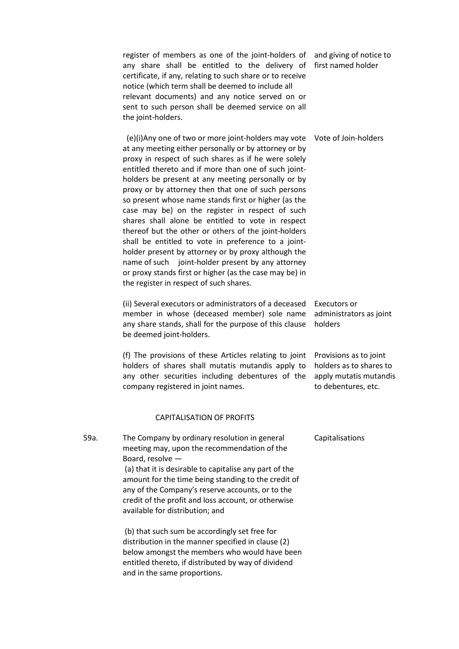register of members as one of the joint-holders of any share shall be entitled to the delivery of certificate, if any, relating to such share or to receive notice (which term shall be deemed to include all relevant documents) and any notice served on or sent to such person shall be deemed service on all the joint-holders. and giving of notice to first named holder

 (e)(i)Any one of two or more joint-holders may vote Vote of Join-holders at any meeting either personally or by attorney or by proxy in respect of such shares as if he were solely entitled thereto and if more than one of such jointholders be present at any meeting personally or by proxy or by attorney then that one of such persons so present whose name stands first or higher (as the case may be) on the register in respect of such shares shall alone be entitled to vote in respect thereof but the other or others of the joint-holders shall be entitled to vote in preference to a jointholder present by attorney or by proxy although the name of such joint-holder present by any attorney or proxy stands first or higher (as the case may be) in the register in respect of such shares.

(ii) Several executors or administrators of a deceased Executors or member in whose (deceased member) sole name any share stands, shall for the purpose of this clause be deemed joint-holders. administrators as joint holders

(f) The provisions of these Articles relating to joint holders of shares shall mutatis mutandis apply to any other securities including debentures of the company registered in joint names.

#### CAPITALISATION OF PROFITS

59a. The Company by ordinary resolution in general meeting may, upon the recommendation of the Board, resolve — (a) that it is desirable to capitalise any part of the amount for the time being standing to the credit of any of the Company's reserve accounts, or to the credit of the profit and loss account, or otherwise available for distribution; and

> (b) that such sum be accordingly set free for distribution in the manner specified in clause (2) below amongst the members who would have been entitled thereto, if distributed by way of dividend and in the same proportions.

Capitalisations

Provisions as to joint holders as to shares to apply mutatis mutandis to debentures, etc.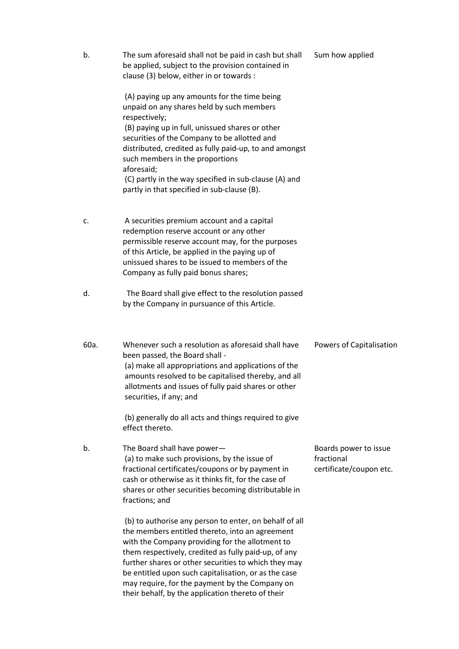| b.   | The sum aforesaid shall not be paid in cash but shall<br>be applied, subject to the provision contained in<br>clause (3) below, either in or towards :                                                                                                                                                                                                                                                                                      | Sum how applied                                                |
|------|---------------------------------------------------------------------------------------------------------------------------------------------------------------------------------------------------------------------------------------------------------------------------------------------------------------------------------------------------------------------------------------------------------------------------------------------|----------------------------------------------------------------|
|      | (A) paying up any amounts for the time being<br>unpaid on any shares held by such members<br>respectively;<br>(B) paying up in full, unissued shares or other<br>securities of the Company to be allotted and<br>distributed, credited as fully paid-up, to and amongst<br>such members in the proportions<br>aforesaid;<br>(C) partly in the way specified in sub-clause (A) and<br>partly in that specified in sub-clause (B).            |                                                                |
| c.   | A securities premium account and a capital<br>redemption reserve account or any other<br>permissible reserve account may, for the purposes<br>of this Article, be applied in the paying up of<br>unissued shares to be issued to members of the<br>Company as fully paid bonus shares;                                                                                                                                                      |                                                                |
| d.   | The Board shall give effect to the resolution passed<br>by the Company in pursuance of this Article.                                                                                                                                                                                                                                                                                                                                        |                                                                |
| 60a. | Whenever such a resolution as aforesaid shall have<br>been passed, the Board shall -<br>(a) make all appropriations and applications of the<br>amounts resolved to be capitalised thereby, and all<br>allotments and issues of fully paid shares or other<br>securities, if any; and                                                                                                                                                        | Powers of Capitalisation                                       |
|      | (b) generally do all acts and things required to give<br>effect thereto.                                                                                                                                                                                                                                                                                                                                                                    |                                                                |
| b.   | The Board shall have power-<br>(a) to make such provisions, by the issue of<br>fractional certificates/coupons or by payment in<br>cash or otherwise as it thinks fit, for the case of<br>shares or other securities becoming distributable in<br>fractions; and                                                                                                                                                                            | Boards power to issue<br>fractional<br>certificate/coupon etc. |
|      | (b) to authorise any person to enter, on behalf of all<br>the members entitled thereto, into an agreement<br>with the Company providing for the allotment to<br>them respectively, credited as fully paid-up, of any<br>further shares or other securities to which they may<br>be entitled upon such capitalisation, or as the case<br>may require, for the payment by the Company on<br>their behalf, by the application thereto of their |                                                                |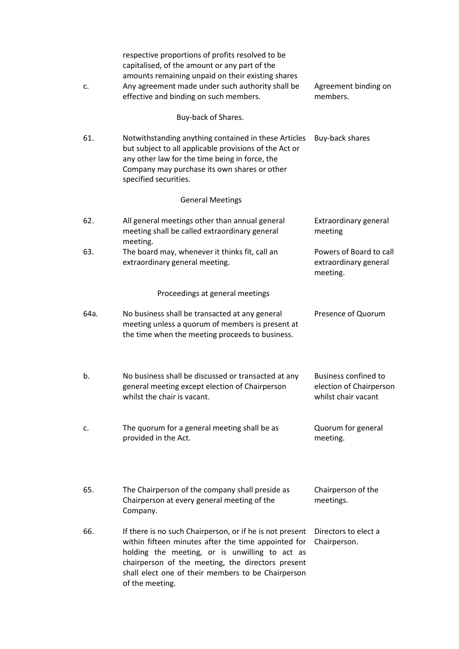| c.   | respective proportions of profits resolved to be<br>capitalised, of the amount or any part of the<br>amounts remaining unpaid on their existing shares<br>Any agreement made under such authority shall be<br>effective and binding on such members.                                            | Agreement binding on<br>members.                                              |
|------|-------------------------------------------------------------------------------------------------------------------------------------------------------------------------------------------------------------------------------------------------------------------------------------------------|-------------------------------------------------------------------------------|
|      | Buy-back of Shares.                                                                                                                                                                                                                                                                             |                                                                               |
| 61.  | Notwithstanding anything contained in these Articles<br>but subject to all applicable provisions of the Act or<br>any other law for the time being in force, the<br>Company may purchase its own shares or other<br>specified securities.                                                       | Buy-back shares                                                               |
|      | <b>General Meetings</b>                                                                                                                                                                                                                                                                         |                                                                               |
| 62.  | All general meetings other than annual general<br>meeting shall be called extraordinary general<br>meeting.                                                                                                                                                                                     | Extraordinary general<br>meeting                                              |
| 63.  | The board may, whenever it thinks fit, call an<br>extraordinary general meeting.                                                                                                                                                                                                                | Powers of Board to call<br>extraordinary general<br>meeting.                  |
|      | Proceedings at general meetings                                                                                                                                                                                                                                                                 |                                                                               |
| 64a. | No business shall be transacted at any general<br>meeting unless a quorum of members is present at<br>the time when the meeting proceeds to business.                                                                                                                                           | Presence of Quorum                                                            |
| b.   | No business shall be discussed or transacted at any<br>general meeting except election of Chairperson<br>whilst the chair is vacant.                                                                                                                                                            | <b>Business confined to</b><br>election of Chairperson<br>whilst chair vacant |
| c.   | The quorum for a general meeting shall be as<br>provided in the Act.                                                                                                                                                                                                                            | Quorum for general<br>meeting.                                                |
| 65.  | The Chairperson of the company shall preside as<br>Chairperson at every general meeting of the<br>Company.                                                                                                                                                                                      | Chairperson of the<br>meetings.                                               |
| 66.  | If there is no such Chairperson, or if he is not present<br>within fifteen minutes after the time appointed for<br>holding the meeting, or is unwilling to act as<br>chairperson of the meeting, the directors present<br>shall elect one of their members to be Chairperson<br>of the meeting. | Directors to elect a<br>Chairperson.                                          |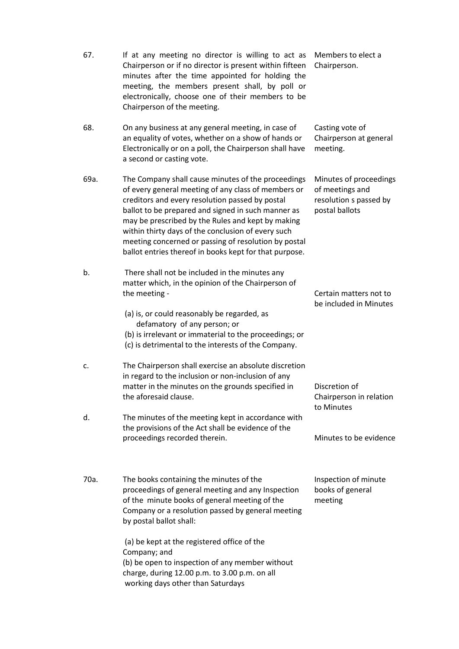| 67.  | If at any meeting no director is willing to act as<br>Chairperson or if no director is present within fifteen<br>minutes after the time appointed for holding the<br>meeting, the members present shall, by poll or<br>electronically, choose one of their members to be<br>Chairperson of the meeting.                                                                                                                                         | Members to elect a<br>Chairperson.                                                    |
|------|-------------------------------------------------------------------------------------------------------------------------------------------------------------------------------------------------------------------------------------------------------------------------------------------------------------------------------------------------------------------------------------------------------------------------------------------------|---------------------------------------------------------------------------------------|
| 68.  | On any business at any general meeting, in case of<br>an equality of votes, whether on a show of hands or<br>Electronically or on a poll, the Chairperson shall have<br>a second or casting vote.                                                                                                                                                                                                                                               | Casting vote of<br>Chairperson at general<br>meeting.                                 |
| 69a. | The Company shall cause minutes of the proceedings<br>of every general meeting of any class of members or<br>creditors and every resolution passed by postal<br>ballot to be prepared and signed in such manner as<br>may be prescribed by the Rules and kept by making<br>within thirty days of the conclusion of every such<br>meeting concerned or passing of resolution by postal<br>ballot entries thereof in books kept for that purpose. | Minutes of proceedings<br>of meetings and<br>resolution s passed by<br>postal ballots |
| b.   | There shall not be included in the minutes any<br>matter which, in the opinion of the Chairperson of<br>the meeting -<br>(a) is, or could reasonably be regarded, as<br>defamatory of any person; or<br>(b) is irrelevant or immaterial to the proceedings; or<br>(c) is detrimental to the interests of the Company.                                                                                                                           | Certain matters not to<br>be included in Minutes                                      |
| c.   | The Chairperson shall exercise an absolute discretion<br>in regard to the inclusion or non-inclusion of any<br>matter in the minutes on the grounds specified in<br>the aforesaid clause.                                                                                                                                                                                                                                                       | Discretion of<br>Chairperson in relation<br>to Minutes                                |
| d.   | The minutes of the meeting kept in accordance with<br>the provisions of the Act shall be evidence of the<br>proceedings recorded therein.                                                                                                                                                                                                                                                                                                       | Minutes to be evidence                                                                |
| 70a. | The books containing the minutes of the<br>proceedings of general meeting and any Inspection<br>of the minute books of general meeting of the<br>Company or a resolution passed by general meeting<br>by postal ballot shall:                                                                                                                                                                                                                   | Inspection of minute<br>books of general<br>meeting                                   |
|      | (a) be kept at the registered office of the<br>Company; and<br>(b) be open to inspection of any member without                                                                                                                                                                                                                                                                                                                                  |                                                                                       |

charge, during 12.00 p.m. to 3.00 p.m. on all working days other than Saturdays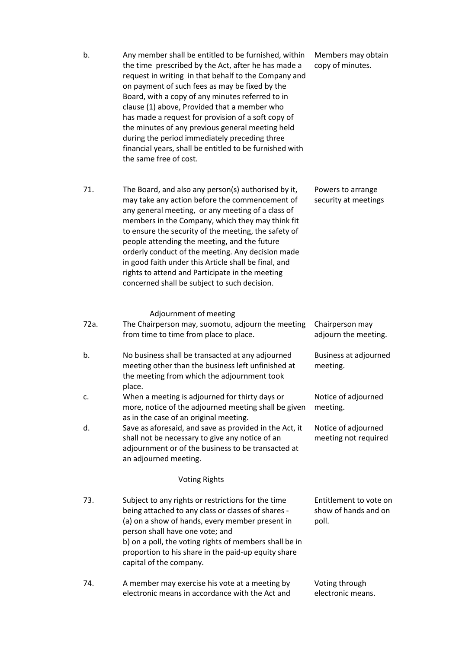| b.   | Any member shall be entitled to be furnished, within<br>the time prescribed by the Act, after he has made a<br>request in writing in that behalf to the Company and<br>on payment of such fees as may be fixed by the<br>Board, with a copy of any minutes referred to in<br>clause (1) above, Provided that a member who<br>has made a request for provision of a soft copy of<br>the minutes of any previous general meeting held<br>during the period immediately preceding three<br>financial years, shall be entitled to be furnished with<br>the same free of cost. | Members may obtain<br>copy of minutes.                  |
|------|---------------------------------------------------------------------------------------------------------------------------------------------------------------------------------------------------------------------------------------------------------------------------------------------------------------------------------------------------------------------------------------------------------------------------------------------------------------------------------------------------------------------------------------------------------------------------|---------------------------------------------------------|
| 71.  | The Board, and also any person(s) authorised by it,<br>may take any action before the commencement of<br>any general meeting, or any meeting of a class of<br>members in the Company, which they may think fit<br>to ensure the security of the meeting, the safety of<br>people attending the meeting, and the future<br>orderly conduct of the meeting. Any decision made<br>in good faith under this Article shall be final, and<br>rights to attend and Participate in the meeting<br>concerned shall be subject to such decision.                                    | Powers to arrange<br>security at meetings               |
| 72a. | Adjournment of meeting<br>The Chairperson may, suomotu, adjourn the meeting<br>from time to time from place to place.                                                                                                                                                                                                                                                                                                                                                                                                                                                     | Chairperson may<br>adjourn the meeting.                 |
| b.   | No business shall be transacted at any adjourned<br>meeting other than the business left unfinished at<br>the meeting from which the adjournment took<br>place.                                                                                                                                                                                                                                                                                                                                                                                                           | Business at adjourned<br>meeting.                       |
| c.   | When a meeting is adjourned for thirty days or<br>more, notice of the adjourned meeting shall be given<br>as in the case of an original meeting.                                                                                                                                                                                                                                                                                                                                                                                                                          | Notice of adjourned<br>meeting.                         |
| d.   | Save as aforesaid, and save as provided in the Act, it<br>shall not be necessary to give any notice of an<br>adjournment or of the business to be transacted at<br>an adjourned meeting.                                                                                                                                                                                                                                                                                                                                                                                  | Notice of adjourned<br>meeting not required             |
|      | <b>Voting Rights</b>                                                                                                                                                                                                                                                                                                                                                                                                                                                                                                                                                      |                                                         |
| 73.  | Subject to any rights or restrictions for the time<br>being attached to any class or classes of shares -<br>(a) on a show of hands, every member present in<br>person shall have one vote; and<br>b) on a poll, the voting rights of members shall be in<br>proportion to his share in the paid-up equity share<br>capital of the company.                                                                                                                                                                                                                                | Entitlement to vote on<br>show of hands and on<br>poll. |
| 74.  | A member may exercise his vote at a meeting by<br>electronic means in accordance with the Act and                                                                                                                                                                                                                                                                                                                                                                                                                                                                         | Voting through<br>electronic means.                     |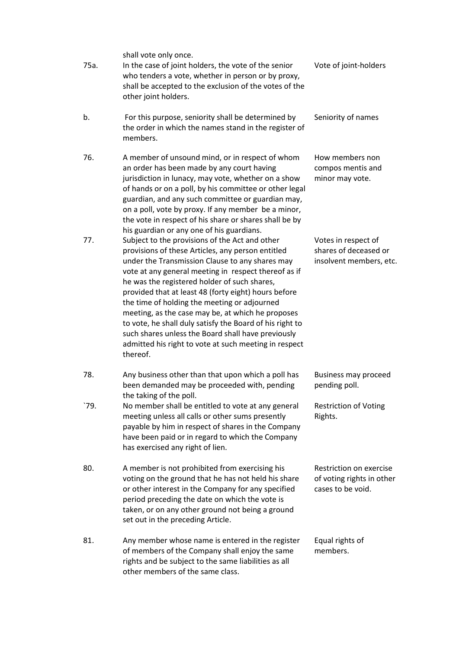shall vote only once.

members.

- 75a. b. In the case of joint holders, the vote of the senior who tenders a vote, whether in person or by proxy, shall be accepted to the exclusion of the votes of the other joint holders. For this purpose, seniority shall be determined by the order in which the names stand in the register of Vote of joint-holders Seniority of names
- 76. A member of unsound mind, or in respect of whom an order has been made by any court having jurisdiction in lunacy, may vote, whether on a show of hands or on a poll, by his committee or other legal guardian, and any such committee or guardian may, on a poll, vote by proxy. If any member be a minor, the vote in respect of his share or shares shall be by his guardian or any one of his guardians.
- 77. Subject to the provisions of the Act and other provisions of these Articles, any person entitled under the Transmission Clause to any shares may vote at any general meeting in respect thereof as if he was the registered holder of such shares, provided that at least 48 (forty eight) hours before the time of holding the meeting or adjourned meeting, as the case may be, at which he proposes to vote, he shall duly satisfy the Board of his right to such shares unless the Board shall have previously admitted his right to vote at such meeting in respect thereof.
- 78. Any business other than that upon which a poll has been demanded may be proceeded with, pending the taking of the poll.
- `79. No member shall be entitled to vote at any general meeting unless all calls or other sums presently payable by him in respect of shares in the Company have been paid or in regard to which the Company has exercised any right of lien.
- 80. A member is not prohibited from exercising his voting on the ground that he has not held his share or other interest in the Company for any specified period preceding the date on which the vote is taken, or on any other ground not being a ground set out in the preceding Article.
- 81. Any member whose name is entered in the register of members of the Company shall enjoy the same rights and be subject to the same liabilities as all other members of the same class.

How members non compos mentis and minor may vote.

Votes in respect of shares of deceased or insolvent members, etc.

Business may proceed pending poll.

Restriction of Voting Rights.

Restriction on exercise of voting rights in other cases to be void.

Equal rights of members.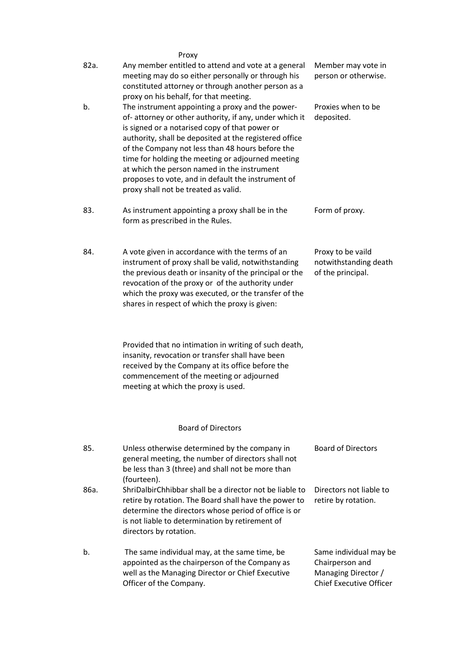|      | Proxy                                                                                                                                                                                                                                                                                                                                                                                                                                                                        |                                                                  |
|------|------------------------------------------------------------------------------------------------------------------------------------------------------------------------------------------------------------------------------------------------------------------------------------------------------------------------------------------------------------------------------------------------------------------------------------------------------------------------------|------------------------------------------------------------------|
| 82a. | Any member entitled to attend and vote at a general<br>meeting may do so either personally or through his<br>constituted attorney or through another person as a<br>proxy on his behalf, for that meeting.                                                                                                                                                                                                                                                                   | Member may vote in<br>person or otherwise.                       |
| b.   | The instrument appointing a proxy and the power-<br>of-attorney or other authority, if any, under which it<br>is signed or a notarised copy of that power or<br>authority, shall be deposited at the registered office<br>of the Company not less than 48 hours before the<br>time for holding the meeting or adjourned meeting<br>at which the person named in the instrument<br>proposes to vote, and in default the instrument of<br>proxy shall not be treated as valid. | Proxies when to be<br>deposited.                                 |
| 83.  | As instrument appointing a proxy shall be in the<br>form as prescribed in the Rules.                                                                                                                                                                                                                                                                                                                                                                                         | Form of proxy.                                                   |
| 84.  | A vote given in accordance with the terms of an<br>instrument of proxy shall be valid, notwithstanding<br>the previous death or insanity of the principal or the<br>revocation of the proxy or of the authority under<br>which the proxy was executed, or the transfer of the<br>shares in respect of which the proxy is given:                                                                                                                                              | Proxy to be vaild<br>notwithstanding death<br>of the principal.  |
|      | Provided that no intimation in writing of such death,<br>insanity, revocation or transfer shall have been<br>received by the Company at its office before the<br>commencement of the meeting or adjourned<br>meeting at which the proxy is used.                                                                                                                                                                                                                             |                                                                  |
|      | <b>Board of Directors</b>                                                                                                                                                                                                                                                                                                                                                                                                                                                    |                                                                  |
| 85.  | Unless otherwise determined by the company in<br>general meeting, the number of directors shall not<br>be less than 3 (three) and shall not be more than<br>(fourteen).                                                                                                                                                                                                                                                                                                      | <b>Board of Directors</b>                                        |
| 86a. | ShriDalbirChhibbar shall be a director not be liable to<br>retire by rotation. The Board shall have the power to<br>determine the directors whose period of office is or<br>is not liable to determination by retirement of<br>directors by rotation.                                                                                                                                                                                                                        | Directors not liable to<br>retire by rotation.                   |
| b.   | The same individual may, at the same time, be<br>appointed as the chairperson of the Company as<br>well as the Managing Director or Chief Executive                                                                                                                                                                                                                                                                                                                          | Same individual may be<br>Chairperson and<br>Managing Director / |

Chief Executive Officer

Officer of the Company.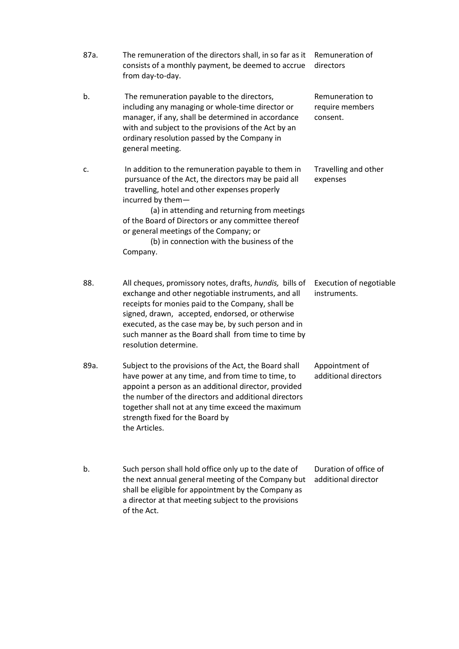| 87a. | The remuneration of the directors shall, in so far as it<br>consists of a monthly payment, be deemed to accrue<br>from day-to-day.                                                                                                                                                                                                                                                        | Remuneration of<br>directors                   |
|------|-------------------------------------------------------------------------------------------------------------------------------------------------------------------------------------------------------------------------------------------------------------------------------------------------------------------------------------------------------------------------------------------|------------------------------------------------|
| b.   | The remuneration payable to the directors,<br>including any managing or whole-time director or<br>manager, if any, shall be determined in accordance<br>with and subject to the provisions of the Act by an<br>ordinary resolution passed by the Company in<br>general meeting.                                                                                                           | Remuneration to<br>require members<br>consent. |
| c.   | In addition to the remuneration payable to them in<br>pursuance of the Act, the directors may be paid all<br>travelling, hotel and other expenses properly<br>incurred by them-<br>(a) in attending and returning from meetings<br>of the Board of Directors or any committee thereof<br>or general meetings of the Company; or<br>(b) in connection with the business of the<br>Company. | Travelling and other<br>expenses               |
| 88.  | All cheques, promissory notes, drafts, hundis, bills of<br>exchange and other negotiable instruments, and all<br>receipts for monies paid to the Company, shall be<br>signed, drawn, accepted, endorsed, or otherwise<br>executed, as the case may be, by such person and in<br>such manner as the Board shall from time to time by<br>resolution determine.                              | Execution of negotiable<br>instruments.        |
| 89a. | Subject to the provisions of the Act, the Board shall<br>have power at any time, and from time to time, to<br>appoint a person as an additional director, provided<br>the number of the directors and additional directors<br>together shall not at any time exceed the maximum<br>strength fixed for the Board by<br>the Articles.                                                       | Appointment of<br>additional directors         |
| b.   | Such person shall hold office only up to the date of<br>the next annual general meeting of the Company but<br>shall be eligible for appointment by the Company as                                                                                                                                                                                                                         | Duration of office of<br>additional director   |

a director at that meeting subject to the provisions

of the Act.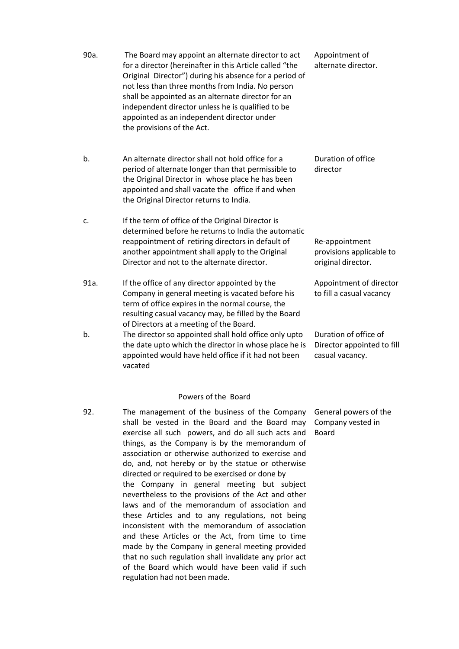- 90a. The Board may appoint an alternate director to act for a director (hereinafter in this Article called "the Original Director") during his absence for a period of not less than three months from India. No person shall be appointed as an alternate director for an independent director unless he is qualified to be appointed as an independent director under the provisions of the Act. Appointment of
- b. An alternate director shall not hold office for a period of alternate longer than that permissible to the Original Director in whose place he has been appointed and shall vacate the office if and when the Original Director returns to India.
- c. If the term of office of the Original Director is determined before he returns to India the automatic reappointment of retiring directors in default of another appointment shall apply to the Original Director and not to the alternate director.
- 91a. If the office of any director appointed by the Company in general meeting is vacated before his term of office expires in the normal course, the resulting casual vacancy may, be filled by the Board of Directors at a meeting of the Board.
- b. The director so appointed shall hold office only upto the date upto which the director in whose place he is appointed would have held office if it had not been vacated

## Powers of the Board

92. The management of the business of the Company shall be vested in the Board and the Board may exercise all such powers, and do all such acts and things, as the Company is by the memorandum of association or otherwise authorized to exercise and do, and, not hereby or by the statue or otherwise directed or required to be exercised or done by the Company in general meeting but subject nevertheless to the provisions of the Act and other laws and of the memorandum of association and these Articles and to any regulations, not being inconsistent with the memorandum of association and these Articles or the Act, from time to time made by the Company in general meeting provided that no such regulation shall invalidate any prior act of the Board which would have been valid if such regulation had not been made.

alternate director.

Duration of office director

Re-appointment provisions applicable to original director.

Appointment of director to fill a casual vacancy

Duration of office of Director appointed to fill casual vacancy.

General powers of the Company vested in Board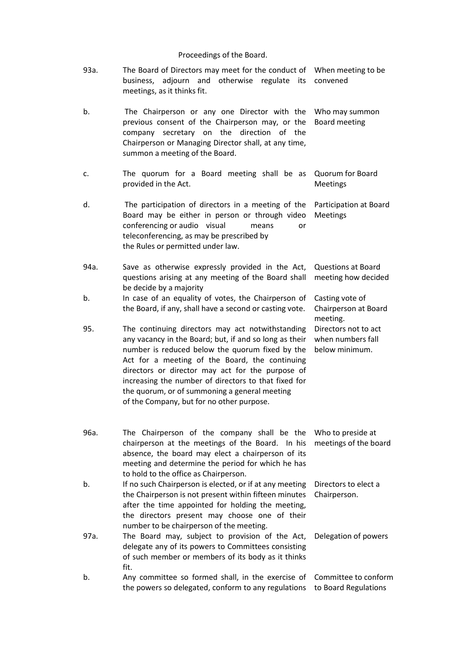# Proceedings of the Board.

| 93a. | The Board of Directors may meet for the conduct of<br>adjourn<br>and otherwise<br>regulate<br>business,<br>its<br>meetings, as it thinks fit.                                                                                                                                                                                                                                                                             | When meeting to be<br>convened                              |
|------|---------------------------------------------------------------------------------------------------------------------------------------------------------------------------------------------------------------------------------------------------------------------------------------------------------------------------------------------------------------------------------------------------------------------------|-------------------------------------------------------------|
| b.   | The Chairperson or any one Director with the<br>previous consent of the Chairperson may, or the<br>company secretary on the direction of the<br>Chairperson or Managing Director shall, at any time,<br>summon a meeting of the Board.                                                                                                                                                                                    | Who may summon<br>Board meeting                             |
| c.   | The quorum for a Board meeting shall be as<br>provided in the Act.                                                                                                                                                                                                                                                                                                                                                        | Quorum for Board<br><b>Meetings</b>                         |
| d.   | The participation of directors in a meeting of the<br>Board may be either in person or through video<br>conferencing or audio visual<br>means<br>or<br>teleconferencing, as may be prescribed by<br>the Rules or permitted under law.                                                                                                                                                                                     | Participation at Board<br><b>Meetings</b>                   |
| 94a. | Save as otherwise expressly provided in the Act,<br>questions arising at any meeting of the Board shall<br>be decide by a majority                                                                                                                                                                                                                                                                                        | <b>Questions at Board</b><br>meeting how decided            |
| b.   | In case of an equality of votes, the Chairperson of<br>the Board, if any, shall have a second or casting vote.                                                                                                                                                                                                                                                                                                            | Casting vote of<br>Chairperson at Board<br>meeting.         |
| 95.  | The continuing directors may act notwithstanding<br>any vacancy in the Board; but, if and so long as their<br>number is reduced below the quorum fixed by the<br>Act for a meeting of the Board, the continuing<br>directors or director may act for the purpose of<br>increasing the number of directors to that fixed for<br>the quorum, or of summoning a general meeting<br>of the Company, but for no other purpose. | Directors not to act<br>when numbers fall<br>below minimum. |
| 96a. | The Chairperson of the company shall be the<br>chairperson at the meetings of the Board. In his<br>absence, the board may elect a chairperson of its<br>meeting and determine the period for which he has<br>to hold to the office as Chairperson.                                                                                                                                                                        | Who to preside at<br>meetings of the board                  |
| b.   | If no such Chairperson is elected, or if at any meeting<br>the Chairperson is not present within fifteen minutes<br>after the time appointed for holding the meeting,<br>the directors present may choose one of their<br>number to be chairperson of the meeting.                                                                                                                                                        | Directors to elect a<br>Chairperson.                        |
| 97a. | The Board may, subject to provision of the Act,<br>delegate any of its powers to Committees consisting<br>of such member or members of its body as it thinks<br>fit.                                                                                                                                                                                                                                                      | Delegation of powers                                        |
| b.   | Any committee so formed shall, in the exercise of<br>the powers so delegated, conform to any regulations                                                                                                                                                                                                                                                                                                                  | Committee to conform<br>to Board Regulations                |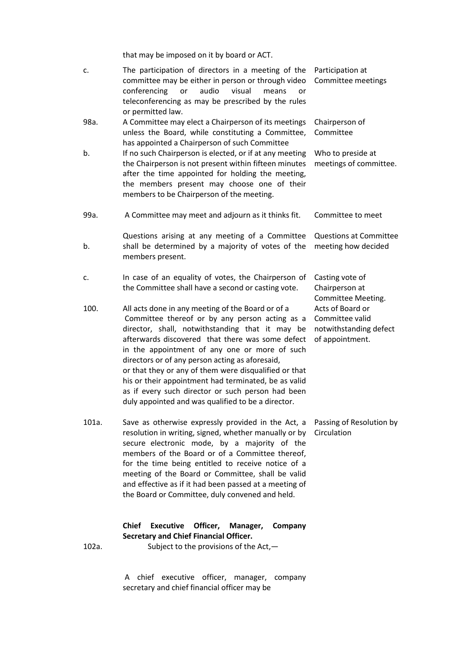that may be imposed on it by board or ACT.

|       | that may be imposed on it by board or ACT.                                                                                                                                                                                                                                                                                                                                                                                                                                                                                                 |                                                                                  |
|-------|--------------------------------------------------------------------------------------------------------------------------------------------------------------------------------------------------------------------------------------------------------------------------------------------------------------------------------------------------------------------------------------------------------------------------------------------------------------------------------------------------------------------------------------------|----------------------------------------------------------------------------------|
| c.    | The participation of directors in a meeting of the<br>committee may be either in person or through video<br>conferencing<br>audio<br>visual<br>or<br>means<br>or<br>teleconferencing as may be prescribed by the rules<br>or permitted law.                                                                                                                                                                                                                                                                                                | Participation at<br>Committee meetings                                           |
| 98a.  | A Committee may elect a Chairperson of its meetings<br>unless the Board, while constituting a Committee,<br>has appointed a Chairperson of such Committee                                                                                                                                                                                                                                                                                                                                                                                  | Chairperson of<br>Committee                                                      |
| b.    | If no such Chairperson is elected, or if at any meeting<br>the Chairperson is not present within fifteen minutes<br>after the time appointed for holding the meeting,<br>the members present may choose one of their<br>members to be Chairperson of the meeting.                                                                                                                                                                                                                                                                          | Who to preside at<br>meetings of committee.                                      |
| 99a.  | A Committee may meet and adjourn as it thinks fit.                                                                                                                                                                                                                                                                                                                                                                                                                                                                                         | Committee to meet                                                                |
| b.    | Questions arising at any meeting of a Committee<br>shall be determined by a majority of votes of the<br>members present.                                                                                                                                                                                                                                                                                                                                                                                                                   | <b>Questions at Committee</b><br>meeting how decided                             |
| c.    | In case of an equality of votes, the Chairperson of<br>the Committee shall have a second or casting vote.                                                                                                                                                                                                                                                                                                                                                                                                                                  | Casting vote of<br>Chairperson at<br>Committee Meeting.                          |
| 100.  | All acts done in any meeting of the Board or of a<br>Committee thereof or by any person acting as a<br>director, shall, notwithstanding that it may be<br>afterwards discovered that there was some defect<br>in the appointment of any one or more of such<br>directors or of any person acting as aforesaid,<br>or that they or any of them were disqualified or that<br>his or their appointment had terminated, be as valid<br>as if every such director or such person had been<br>duly appointed and was qualified to be a director. | Acts of Board or<br>Committee valid<br>notwithstanding defect<br>of appointment. |
| 101a. | Save as otherwise expressly provided in the Act, a<br>resolution in writing, signed, whether manually or by<br>secure electronic mode, by a majority of the<br>members of the Board or of a Committee thereof,<br>for the time being entitled to receive notice of a<br>meeting of the Board or Committee, shall be valid<br>and effective as if it had been passed at a meeting of<br>the Board or Committee, duly convened and held.                                                                                                     | Passing of Resolution by<br>Circulation                                          |
|       |                                                                                                                                                                                                                                                                                                                                                                                                                                                                                                                                            |                                                                                  |

# Chief Executive Officer, Manager, Company Secretary and Chief Financial Officer.

102a. Subject to the provisions of the Act,

A chief executive officer, manager, company secretary and chief financial officer may be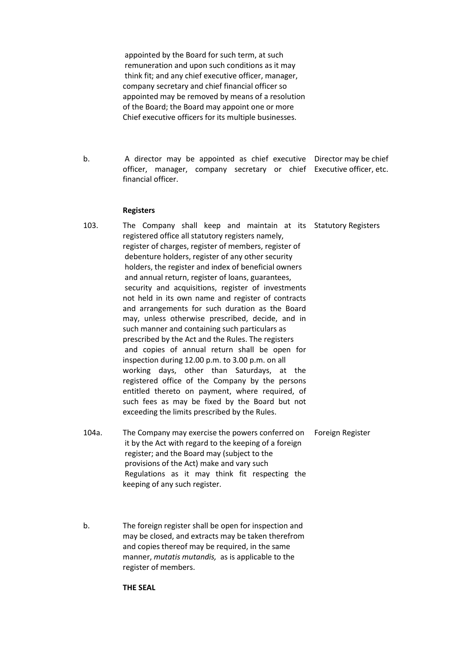appointed by the Board for such term, at such remuneration and upon such conditions as it may think fit; and any chief executive officer, manager, company secretary and chief financial officer so appointed may be removed by means of a resolution of the Board; the Board may appoint one or more Chief executive officers for its multiple businesses.

b. A director may be appointed as chief executive Director may be chief officer, manager, company secretary or chief Executive officer, etc. financial officer.

#### Registers

- 103. The Company shall keep and maintain at its Statutory Registers registered office all statutory registers namely, register of charges, register of members, register of debenture holders, register of any other security holders, the register and index of beneficial owners and annual return, register of loans, guarantees, security and acquisitions, register of investments not held in its own name and register of contracts and arrangements for such duration as the Board may, unless otherwise prescribed, decide, and in such manner and containing such particulars as prescribed by the Act and the Rules. The registers and copies of annual return shall be open for inspection during 12.00 p.m. to 3.00 p.m. on all working days, other than Saturdays, at the registered office of the Company by the persons entitled thereto on payment, where required, of such fees as may be fixed by the Board but not exceeding the limits prescribed by the Rules.
- 104a. The Company may exercise the powers conferred on it by the Act with regard to the keeping of a foreign register; and the Board may (subject to the provisions of the Act) make and vary such Regulations as it may think fit respecting the keeping of any such register. Foreign Register
- b. The foreign register shall be open for inspection and may be closed, and extracts may be taken therefrom and copies thereof may be required, in the same manner, *mutatis mutandis,* as is applicable to the register of members.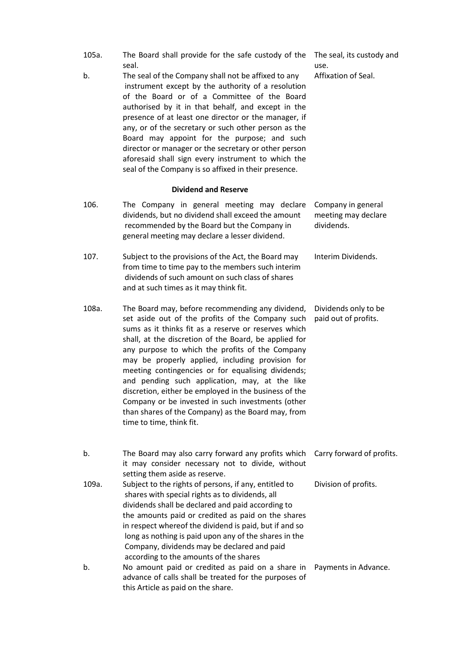- 105a. The Board shall provide for the safe custody of the The seal, its custody and seal.
- b. The seal of the Company shall not be affixed to any instrument except by the authority of a resolution of the Board or of a Committee of the Board authorised by it in that behalf, and except in the presence of at least one director or the manager, if any, or of the secretary or such other person as the Board may appoint for the purpose; and such director or manager or the secretary or other person aforesaid shall sign every instrument to which the seal of the Company is so affixed in their presence.
- use. Affixation of Seal.

 Dividend and Reserve 106. The Company in general meeting may declare dividends, but no dividend shall exceed the amount recommended by the Board but the Company in general meeting may declare a lesser dividend. Company in general meeting may declare dividends. 107. Subject to the provisions of the Act, the Board may from time to time pay to the members such interim dividends of such amount on such class of shares and at such times as it may think fit. Interim Dividends. 108a. The Board may, before recommending any dividend, set aside out of the profits of the Company such paid out of profits. sums as it thinks fit as a reserve or reserves which shall, at the discretion of the Board, be applied for any purpose to which the profits of the Company may be properly applied, including provision for meeting contingencies or for equalising dividends; and pending such application, may, at the like discretion, either be employed in the business of the Company or be invested in such investments (other than shares of the Company) as the Board may, from time to time, think fit. Dividends only to be b. The Board may also carry forward any profits which Carry forward of profits. it may consider necessary not to divide, without setting them aside as reserve. 109a. Subject to the rights of persons, if any, entitled to shares with special rights as to dividends, all dividends shall be declared and paid according to the amounts paid or credited as paid on the shares in respect whereof the dividend is paid, but if and so long as nothing is paid upon any of the shares in the Company, dividends may be declared and paid according to the amounts of the shares Division of profits. b. No amount paid or credited as paid on a share in Payments in Advance.advance of calls shall be treated for the purposes of this Article as paid on the share.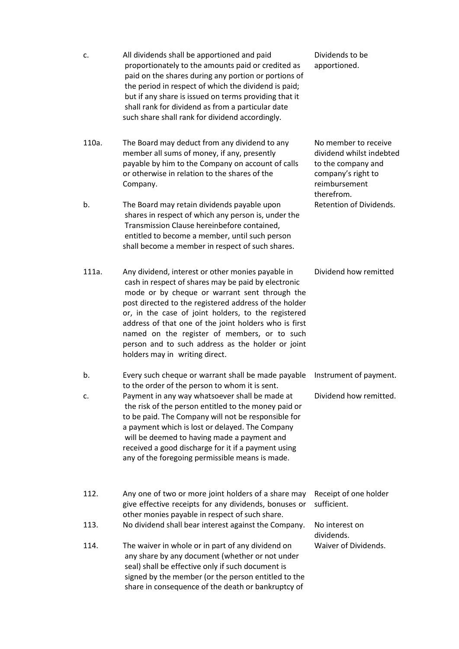| c.    | All dividends shall be apportioned and paid<br>proportionately to the amounts paid or credited as<br>paid on the shares during any portion or portions of<br>the period in respect of which the dividend is paid;<br>but if any share is issued on terms providing that it<br>shall rank for dividend as from a particular date<br>such share shall rank for dividend accordingly.                                                                                        | Dividends to be<br>apportioned.                                                                                             |
|-------|---------------------------------------------------------------------------------------------------------------------------------------------------------------------------------------------------------------------------------------------------------------------------------------------------------------------------------------------------------------------------------------------------------------------------------------------------------------------------|-----------------------------------------------------------------------------------------------------------------------------|
| 110a. | The Board may deduct from any dividend to any<br>member all sums of money, if any, presently<br>payable by him to the Company on account of calls<br>or otherwise in relation to the shares of the<br>Company.                                                                                                                                                                                                                                                            | No member to receive<br>dividend whilst indebted<br>to the company and<br>company's right to<br>reimbursement<br>therefrom. |
| b.    | The Board may retain dividends payable upon<br>shares in respect of which any person is, under the<br>Transmission Clause hereinbefore contained,<br>entitled to become a member, until such person<br>shall become a member in respect of such shares.                                                                                                                                                                                                                   | Retention of Dividends.                                                                                                     |
| 111a. | Any dividend, interest or other monies payable in<br>cash in respect of shares may be paid by electronic<br>mode or by cheque or warrant sent through the<br>post directed to the registered address of the holder<br>or, in the case of joint holders, to the registered<br>address of that one of the joint holders who is first<br>named on the register of members, or to such<br>person and to such address as the holder or joint<br>holders may in writing direct. | Dividend how remitted                                                                                                       |
| b.    | Every such cheque or warrant shall be made payable                                                                                                                                                                                                                                                                                                                                                                                                                        | Instrument of payment.                                                                                                      |
| c.    | to the order of the person to whom it is sent.<br>Payment in any way whatsoever shall be made at<br>the risk of the person entitled to the money paid or<br>to be paid. The Company will not be responsible for<br>a payment which is lost or delayed. The Company<br>will be deemed to having made a payment and<br>received a good discharge for it if a payment using<br>any of the foregoing permissible means is made.                                               | Dividend how remitted.                                                                                                      |
| 112.  | Any one of two or more joint holders of a share may<br>give effective receipts for any dividends, bonuses or<br>other monies payable in respect of such share.                                                                                                                                                                                                                                                                                                            | Receipt of one holder<br>sufficient.                                                                                        |
| 113.  | No dividend shall bear interest against the Company.                                                                                                                                                                                                                                                                                                                                                                                                                      | No interest on<br>dividends.                                                                                                |
| 114.  | The waiver in whole or in part of any dividend on<br>any share by any document (whether or not under<br>seal) shall be effective only if such document is<br>signed by the member (or the person entitled to the<br>share in consequence of the death or bankruptcy of                                                                                                                                                                                                    | Waiver of Dividends.                                                                                                        |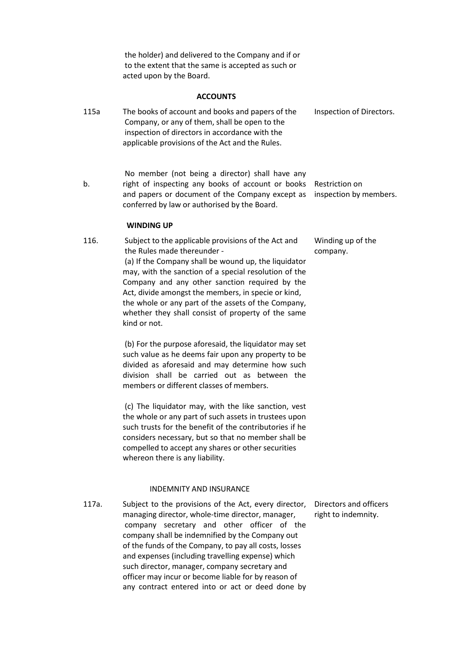the holder) and delivered to the Company and if or to the extent that the same is accepted as such or acted upon by the Board.

## ACCOUNTS

| 115a  | The books of account and books and papers of the<br>Company, or any of them, shall be open to the<br>inspection of directors in accordance with the<br>applicable provisions of the Act and the Rules.                                                                                                                                                                                                                                                                               | Inspection of Directors.                      |
|-------|--------------------------------------------------------------------------------------------------------------------------------------------------------------------------------------------------------------------------------------------------------------------------------------------------------------------------------------------------------------------------------------------------------------------------------------------------------------------------------------|-----------------------------------------------|
| b.    | No member (not being a director) shall have any<br>right of inspecting any books of account or books<br>and papers or document of the Company except as<br>conferred by law or authorised by the Board.                                                                                                                                                                                                                                                                              | Restriction on<br>inspection by members.      |
|       | <b>WINDING UP</b>                                                                                                                                                                                                                                                                                                                                                                                                                                                                    |                                               |
| 116.  | Subject to the applicable provisions of the Act and<br>the Rules made thereunder -<br>(a) If the Company shall be wound up, the liquidator<br>may, with the sanction of a special resolution of the<br>Company and any other sanction required by the<br>Act, divide amongst the members, in specie or kind,<br>the whole or any part of the assets of the Company,<br>whether they shall consist of property of the same<br>kind or not.                                            | Winding up of the<br>company.                 |
|       | (b) For the purpose aforesaid, the liquidator may set<br>such value as he deems fair upon any property to be<br>divided as aforesaid and may determine how such<br>division shall be carried out as between the<br>members or different classes of members.                                                                                                                                                                                                                          |                                               |
|       | (c) The liquidator may, with the like sanction, vest<br>the whole or any part of such assets in trustees upon<br>such trusts for the benefit of the contributories if he<br>considers necessary, but so that no member shall be<br>compelled to accept any shares or other securities<br>whereon there is any liability.                                                                                                                                                             |                                               |
|       | <b>INDEMNITY AND INSURANCE</b>                                                                                                                                                                                                                                                                                                                                                                                                                                                       |                                               |
| 117a. | Subject to the provisions of the Act, every director,<br>managing director, whole-time director, manager,<br>company secretary and other officer of the<br>company shall be indemnified by the Company out<br>of the funds of the Company, to pay all costs, losses<br>and expenses (including travelling expense) which<br>such director, manager, company secretary and<br>officer may incur or become liable for by reason of<br>any contract entered into or act or deed done by | Directors and officers<br>right to indemnity. |